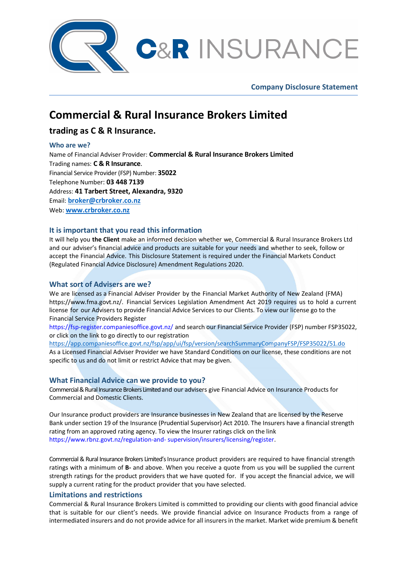

**Company Disclosure Statement** 

# **Commercial & Rural Insurance Brokers Limited**

# **trading as C & R Insurance.**

# **Who are we?**

Name of Financial Adviser Provider: **Commercial & Rural Insurance Brokers Limited**  Trading names: **C & R Insurance**. Financial Service Provider (FSP) Number: **35022**  Telephone Number: **03 448 7139** Address: **41 Tarbert Street, Alexandra, 9320** Email: **broker@crbroker.co.nz** Web: **www.crbroker.co.nz**

# **It is important that you read this information**

It will help you **the Client** make an informed decision whether we, Commercial & Rural Insurance Brokers Ltd and our adviser's financial advice and products are suitable for your needs and whether to seek, follow or accept the Financial Advice. This Disclosure Statement is required under the Financial Markets Conduct (Regulated Financial Advice Disclosure) Amendment Regulations 2020.

# **What sort of Advisers are we?**

We are licensed as a Financial Adviser Provider by the Financial Market Authority of New Zealand (FMA) https://www.fma.govt.nz/. Financial Services Legislation Amendment Act 2019 requires us to hold a current license for our Advisers to provide Financial Advice Services to our Clients. To view our license go to the Financial Service Providers Register

https://fsp-register.companiesoffice.govt.nz/ and search our Financial Service Provider (FSP) number FSP35022, or click on the link to go directly to our registration

https://app.companiesoffice.govt.nz/fsp/app/ui/fsp/version/searchSummaryCompanyFSP/FSP35022/51.do As a Licensed Financial Adviser Provider we have Standard Conditions on our license, these conditions are not specific to us and do not limit or restrict Advice that may be given.

# **What Financial Advice can we provide to you?**

Commercial & Rural Insurance Brokers Limited and our advisers give Financial Advice on Insurance Products for Commercial and Domestic Clients.

Our Insurance product providers are Insurance businesses in New Zealand that are licensed by the Reserve Bank under section 19 of the Insurance (Prudential Supervisor) Act 2010. The Insurers have a financial strength rating from an approved rating agency. To view the Insurer ratings click on the link https://www.rbnz.govt.nz/regulation-and- supervision/insurers/licensing/register.

Commercial & Rural Insurance Brokers Limited's Insurance product providers are required to have financial strength ratings with a minimum of **B-** and above. When you receive a quote from us you will be supplied the current strength ratings for the product providers that we have quoted for. If you accept the financial advice, we will supply a current rating for the product provider that you have selected.

# **Limitations and restrictions**

Commercial & Rural Insurance Brokers Limited is committed to providing our clients with good financial advice that is suitable for our client's needs. We provide financial advice on Insurance Products from a range of intermediated insurers and do not provide advice for all insurers in the market. Market wide premium & benefit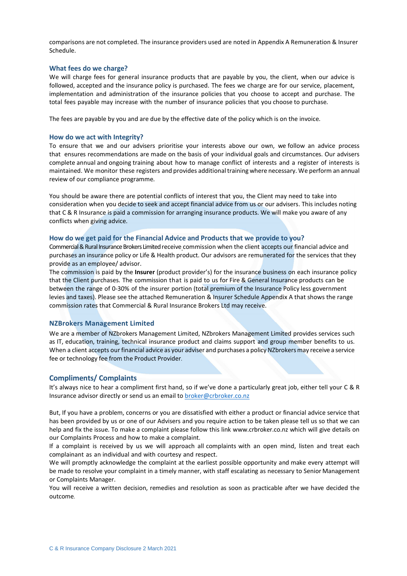comparisons are not completed. The insurance providers used are noted in Appendix A Remuneration & Insurer Schedule.

#### **What fees do we charge?**

We will charge fees for general insurance products that are payable by you, the client, when our advice is followed, accepted and the insurance policy is purchased. The fees we charge are for our service, placement, implementation and administration of the insurance policies that you choose to accept and purchase. The total fees payable may increase with the number of insurance policies that you choose to purchase.

The fees are payable by you and are due by the effective date of the policy which is on the invoice.

#### **How do we act with Integrity?**

To ensure that we and our advisers prioritise your interests above our own, we follow an advice process that ensures recommendations are made on the basis of your individual goals and circumstances. Our advisers complete annual and ongoing training about how to manage conflict of interests and a register of interests is maintained. We monitor these registers and provides additional training where necessary. We perform an annual review of our compliance programme.

You should be aware there are potential conflicts of interest that you, the Client may need to take into consideration when you decide to seek and accept financial advice from us or our advisers. This includes noting that C & R Insurance is paid a commission for arranging insurance products. We will make you aware of any conflicts when giving advice.

#### **How do we get paid for the Financial Advice and Products that we provide to you?**

Commercial & Rural Insurance Brokers Limited receive commission when the client accepts our financial advice and purchases an insurance policy or Life & Health product. Our advisors are remunerated for the services that they provide as an employee/ advisor.

The commission is paid by the **Insurer** (product provider's) for the insurance business on each insurance policy that the Client purchases. The commission that is paid to us for Fire & General Insurance products can be between the range of 0-30% of the insurer portion (total premium of the Insurance Policy less government levies and taxes). Please see the attached Remuneration & Insurer Schedule Appendix A that shows the range commission rates that Commercial & Rural Insurance Brokers Ltd may receive.

#### **NZBrokers Management Limited**

We are a member of NZbrokers Management Limited, NZbrokers Management Limited provides services such as IT, education, training, technical insurance product and claims support and group member benefits to us. When a client accepts our financial advice as your adviser and purchases a policy NZbrokers may receive a service fee or technology fee from the Product Provider.

#### **Compliments/ Complaints**

It's always nice to hear a compliment first hand, so if we've done a particularly great job, either tell your C & R Insurance advisor directly or send us an email to broker@crbroker.co.nz

But, If you have a problem, concerns or you are dissatisfied with either a product or financial advice service that has been provided by us or one of our Advisers and you require action to be taken please tell us so that we can help and fix the issue. To make a complaint please follow this link www.crbroker.co.nz which will give details on our Complaints Process and how to make a complaint.

If a complaint is received by us we will approach all complaints with an open mind, listen and treat each complainant as an individual and with courtesy and respect.

We will promptly acknowledge the complaint at the earliest possible opportunity and make every attempt will be made to resolve your complaint in a timely manner, with staff escalating as necessary to Senior Management or Complaints Manager.

You will receive a written decision, remedies and resolution as soon as practicable after we have decided the outcome.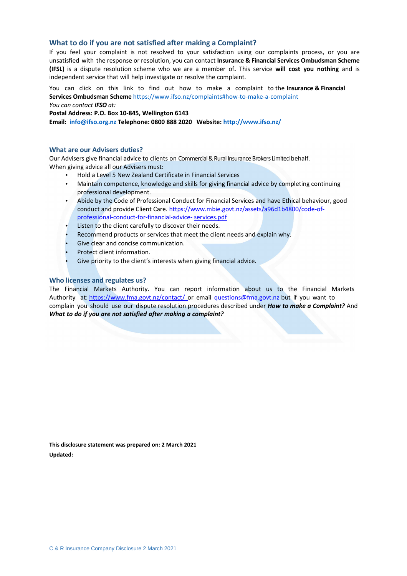### **What to do if you are not satisfied after making a Complaint?**

If you feel your complaint is not resolved to your satisfaction using our complaints process, or you are unsatisfied with the response or resolution, you can contact **Insurance & Financial Services Ombudsman Scheme (IFSL)** is a dispute resolution scheme who we are a member of**.** This service **will cost you nothing** and is independent service that will help investigate or resolve the complaint.

You can click on this link to find out how to make a complaint to the **Insurance & Financial Services Ombudsman Scheme** https://www.ifso.nz/complaints#how-to-make-a-complaint *You can contact IFSO at:*

**Postal Address: P.O. Box 10-845, Wellington 6143** 

**Email: info@ifso.org.nz Telephone: 0800 888 2020 Website: http://www.ifso.nz/**

#### **What are our Advisers duties?**

Our Advisers give financial advice to clients on Commercial & Rural Insurance Brokers Limited behalf. When giving advice all our Advisers must:

- Hold a Level 5 New Zealand Certificate in Financial Services
- Maintain competence, knowledge and skills for giving financial advice by completing continuing professional development.
- Abide by the Code of Professional Conduct for Financial Services and have Ethical behaviour, good conduct and provide Client Care. https://www.mbie.govt.nz/assets/a96d1b4800/code-ofprofessional-conduct-for-financial-advice- services.pdf
- Listen to the client carefully to discover their needs.
- Recommend products or services that meet the client needs and explain why.
- Give clear and concise communication.
- Protect client information.
- Give priority to the client's interests when giving financial advice.

#### **Who licenses and regulates us?**

The Financial Markets Authority. You can report information about us to the Financial Markets Authority at: https://www.fma.govt.nz/contact/ or email questions@fma.govt.nz but if you want to complain you should use our dispute resolution procedures described under *How to make a Complaint?* And *What to do if you are not satisfied after making a complaint?* 

**This disclosure statement was prepared on: 2 March 2021 Updated:**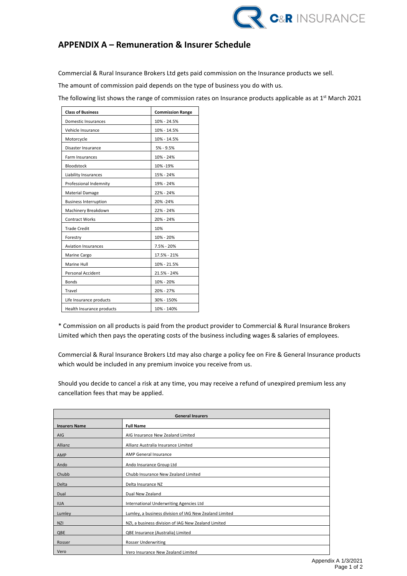

# **APPENDIX A – Remuneration & Insurer Schedule**

Commercial & Rural Insurance Brokers Ltd gets paid commission on the Insurance products we sell.

The amount of commission paid depends on the type of business you do with us.

The following list shows the range of commission rates on Insurance products applicable as at 1<sup>st</sup> March 2021

| <b>Class of Business</b>     | <b>Commission Range</b> |
|------------------------------|-------------------------|
| Domestic Insurances          | 10% - 24.5%             |
| Vehicle Insurance            | 10% - 14.5%             |
| Motorcycle                   | 10% - 14.5%             |
| Disaster Insurance           | $5% - 9.5%$             |
| Farm Insurances              | 10% - 24%               |
| Bloodstock                   | 10% - 19%               |
| Liability Insurances         | 15% - 24%               |
| Professional Indemnity       | 19% - 24%               |
| Material Damage              | 22% - 24%               |
| <b>Business Interruption</b> | 20% - 24%               |
| Machinery Breakdown          | 22% - 24%               |
| <b>Contract Works</b>        | 20% - 24%               |
| <b>Trade Credit</b>          | 10%                     |
| Forestry                     | 10% - 20%               |
| <b>Aviation Insurances</b>   | 7.5% - 20%              |
| Marine Cargo                 | 17.5% - 21%             |
| Marine Hull                  | 10% - 21.5%             |
| Personal Accident            | 21.5% - 24%             |
| <b>Bonds</b>                 | 10% - 20%               |
| Travel                       | 20% - 27%               |
| Life Insurance products      | 30% - 150%              |
| Health Insurance products    | 10% - 140%              |

\* Commission on all products is paid from the product provider to Commercial & Rural Insurance Brokers Limited which then pays the operating costs of the business including wages & salaries of employees.

Commercial & Rural Insurance Brokers Ltd may also charge a policy fee on Fire & General Insurance products which would be included in any premium invoice you receive from us.

Should you decide to cancel a risk at any time, you may receive a refund of unexpired premium less any cancellation fees that may be applied.

| <b>General Insurers</b> |                                                        |  |
|-------------------------|--------------------------------------------------------|--|
| <b>Insurers Name</b>    | <b>Full Name</b>                                       |  |
| <b>AIG</b>              | AIG Insurance New Zealand Limited                      |  |
| Allianz                 | Allianz Australia Insurance Limited                    |  |
| AMP                     | <b>AMP General Insurance</b>                           |  |
| Ando                    | Ando Insurance Group Ltd                               |  |
| Chubb                   | Chubb Insurance New Zealand Limited                    |  |
| Delta                   | Delta Insurance NZ                                     |  |
| Dual                    | Dual New Zealand                                       |  |
| <b>IUA</b>              | International Underwriting Agencies Ltd                |  |
| Lumley                  | Lumley, a business division of IAG New Zealand Limited |  |
| <b>NZI</b>              | NZI, a business division of IAG New Zealand Limited    |  |
| QBE                     | QBE Insurance (Australia) Limited                      |  |
| Rosser                  | <b>Rosser Underwriting</b>                             |  |
| Vero                    | Vero Insurance New Zealand Limited                     |  |